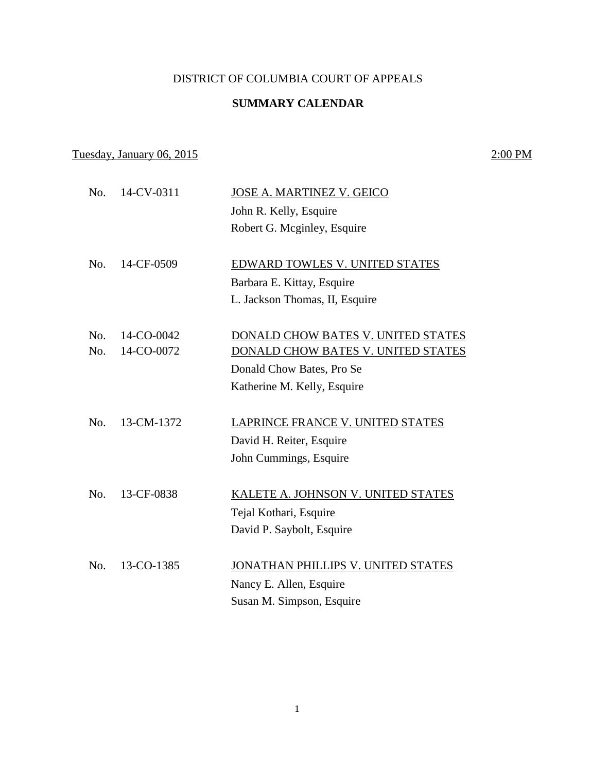### DISTRICT OF COLUMBIA COURT OF APPEALS

## **SUMMARY CALENDAR**

# Tuesday, January 06, 2015 2:00 PM

| No.              | 14-CV-0311 | <b>JOSE A. MARTINEZ V. GEICO</b>   |
|------------------|------------|------------------------------------|
|                  |            | John R. Kelly, Esquire             |
|                  |            | Robert G. Mcginley, Esquire        |
| No.              | 14-CF-0509 | EDWARD TOWLES V. UNITED STATES     |
|                  |            | Barbara E. Kittay, Esquire         |
|                  |            |                                    |
|                  |            | L. Jackson Thomas, II, Esquire     |
| No.              | 14-CO-0042 | DONALD CHOW BATES V. UNITED STATES |
| No.              | 14-CO-0072 | DONALD CHOW BATES V. UNITED STATES |
|                  |            | Donald Chow Bates, Pro Se          |
|                  |            | Katherine M. Kelly, Esquire        |
|                  |            |                                    |
| No.              | 13-CM-1372 | LAPRINCE FRANCE V. UNITED STATES   |
|                  |            | David H. Reiter, Esquire           |
|                  |            | John Cummings, Esquire             |
| No.              | 13-CF-0838 | KALETE A. JOHNSON V. UNITED STATES |
|                  |            |                                    |
|                  |            | Tejal Kothari, Esquire             |
|                  |            | David P. Saybolt, Esquire          |
| N <sub>0</sub> . | 13-CO-1385 | JONATHAN PHILLIPS V. UNITED STATES |
|                  |            | Nancy E. Allen, Esquire            |
|                  |            | Susan M. Simpson, Esquire          |
|                  |            |                                    |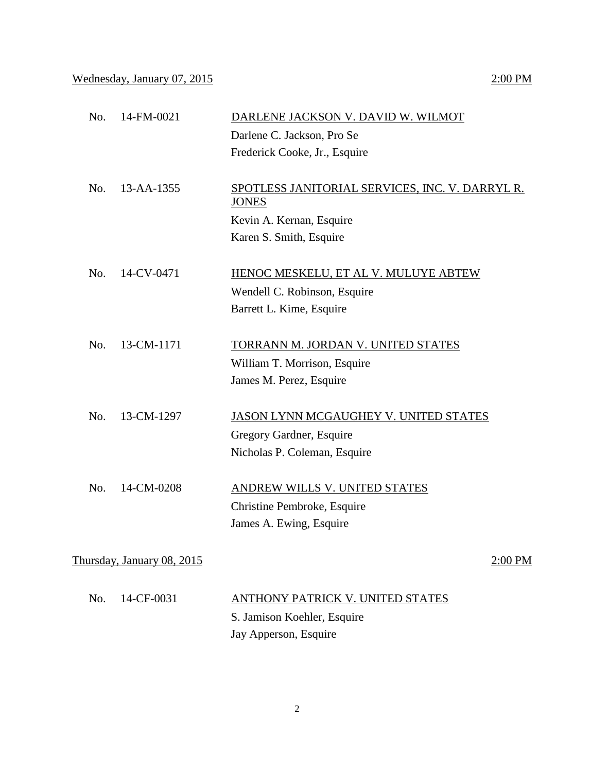Wednesday, January 07, 2015 2:00 PM

| No. | 14-FM-0021       | DARLENE JACKSON V. DAVID W. WILMOT              |
|-----|------------------|-------------------------------------------------|
|     |                  | Darlene C. Jackson, Pro Se                      |
|     |                  | Frederick Cooke, Jr., Esquire                   |
|     |                  |                                                 |
| No. | $13 - AA - 1355$ | SPOTLESS JANITORIAL SERVICES, INC. V. DARRYL R. |
|     |                  | <b>JONES</b>                                    |
|     |                  | Kevin A. Kernan, Esquire                        |
|     |                  | Karen S. Smith, Esquire                         |
|     |                  |                                                 |
| No. | 14-CV-0471       | HENOC MESKELU, ET AL V. MULUYE ABTEW            |
|     |                  | Wendell C. Robinson, Esquire                    |
|     |                  | Barrett L. Kime, Esquire                        |

- No. 13-CM-1171 TORRANN M. JORDAN V. UNITED STATES William T. Morrison, Esquire James M. Perez, Esquire
- No. 13-CM-1297 JASON LYNN MCGAUGHEY V. UNITED STATES Gregory Gardner, Esquire Nicholas P. Coleman, Esquire
- No. 14-CM-0208 ANDREW WILLS V. UNITED STATES Christine Pembroke, Esquire James A. Ewing, Esquire

Thursday, January 08, 2015 2:00 PM

| No. $14$ -CF-0031 | ANTHONY PATRICK V. UNITED STATES |
|-------------------|----------------------------------|
|                   | S. Jamison Koehler, Esquire      |
|                   | Jay Apperson, Esquire            |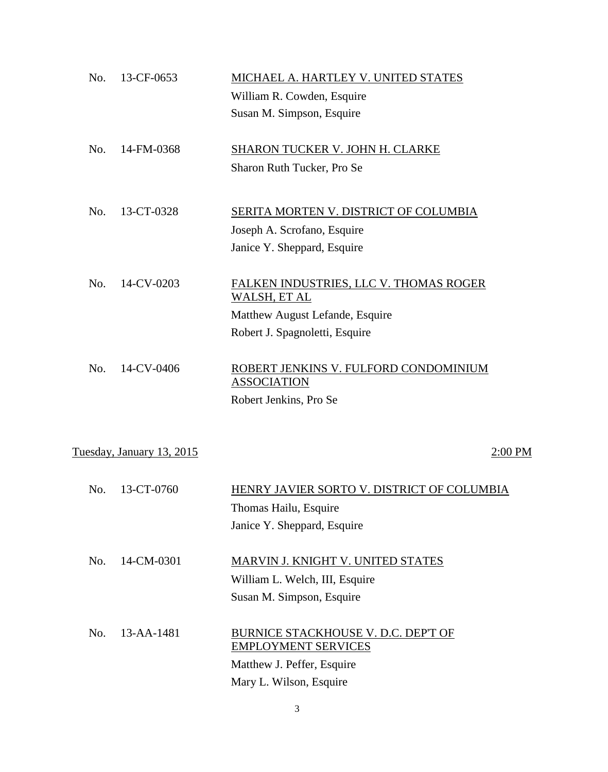| No. | 13-CF-0653                | MICHAEL A. HARTLEY V. UNITED STATES                         |           |
|-----|---------------------------|-------------------------------------------------------------|-----------|
|     |                           | William R. Cowden, Esquire                                  |           |
|     |                           | Susan M. Simpson, Esquire                                   |           |
| No. | 14-FM-0368                | SHARON TUCKER V. JOHN H. CLARKE                             |           |
|     |                           | Sharon Ruth Tucker, Pro Se                                  |           |
| No. | 13-CT-0328                | <b>SERITA MORTEN V. DISTRICT OF COLUMBIA</b>                |           |
|     |                           | Joseph A. Scrofano, Esquire                                 |           |
|     |                           |                                                             |           |
|     |                           | Janice Y. Sheppard, Esquire                                 |           |
| No. | 14-CV-0203                | FALKEN INDUSTRIES, LLC V. THOMAS ROGER<br>WALSH, ET AL      |           |
|     |                           | Matthew August Lefande, Esquire                             |           |
|     |                           | Robert J. Spagnoletti, Esquire                              |           |
| No. | 14-CV-0406                | ROBERT JENKINS V. FULFORD CONDOMINIUM<br><b>ASSOCIATION</b> |           |
|     |                           | Robert Jenkins, Pro Se                                      |           |
|     |                           |                                                             |           |
|     | Tuesday, January 13, 2015 |                                                             | $2:00$ PM |
| No. | 13-CT-0760                | HENRY JAVIER SORTO V. DISTRICT OF COLUMBIA                  |           |
|     |                           |                                                             |           |
|     |                           | Thomas Hailu, Esquire                                       |           |
|     |                           | Janice Y. Sheppard, Esquire                                 |           |
| No. | 14-CM-0301                | <b>MARVIN J. KNIGHT V. UNITED STATES</b>                    |           |
|     |                           | William L. Welch, III, Esquire                              |           |
|     |                           | Susan M. Simpson, Esquire                                   |           |
| No. | 13-AA-1481                | <b>BURNICE STACKHOUSE V. D.C. DEPT OF</b>                   |           |
|     |                           | <b>EMPLOYMENT SERVICES</b>                                  |           |
|     |                           | Matthew J. Peffer, Esquire                                  |           |
|     |                           | Mary L. Wilson, Esquire                                     |           |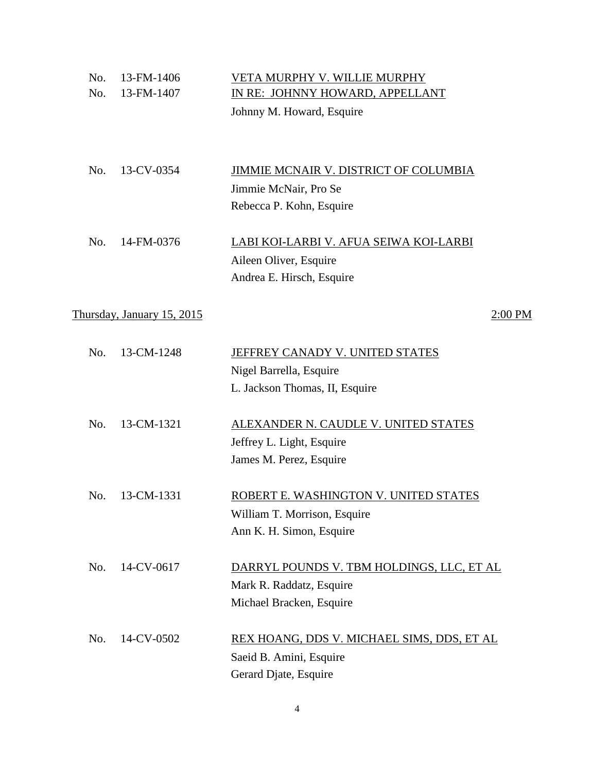| No.<br>No. | 13-FM-1406<br>13-FM-1407   | VETA MURPHY V. WILLIE MURPHY<br>IN RE: JOHNNY HOWARD, APPELLANT<br>Johnny M. Howard, Esquire        |
|------------|----------------------------|-----------------------------------------------------------------------------------------------------|
| No.        | 13-CV-0354                 | JIMMIE MCNAIR V. DISTRICT OF COLUMBIA<br>Jimmie McNair, Pro Se<br>Rebecca P. Kohn, Esquire          |
| No.        | 14-FM-0376                 | LABI KOI-LARBI V. AFUA SEIWA KOI-LARBI<br>Aileen Oliver, Esquire<br>Andrea E. Hirsch, Esquire       |
|            | Thursday, January 15, 2015 | 2:00 PM                                                                                             |
| No.        | 13-CM-1248                 | <b>JEFFREY CANADY V. UNITED STATES</b><br>Nigel Barrella, Esquire<br>L. Jackson Thomas, II, Esquire |
| No.        | 13-CM-1321                 | ALEXANDER N. CAUDLE V. UNITED STATES<br>Jeffrey L. Light, Esquire<br>James M. Perez, Esquire        |
| No.        | 13-CM-1331                 | ROBERT E. WASHINGTON V. UNITED STATES<br>William T. Morrison, Esquire<br>Ann K. H. Simon, Esquire   |
| No.        | 14-CV-0617                 | DARRYL POUNDS V. TBM HOLDINGS, LLC, ET AL<br>Mark R. Raddatz, Esquire<br>Michael Bracken, Esquire   |
| No.        | 14-CV-0502                 | REX HOANG, DDS V. MICHAEL SIMS, DDS, ET AL<br>Saeid B. Amini, Esquire<br>Gerard Djate, Esquire      |

4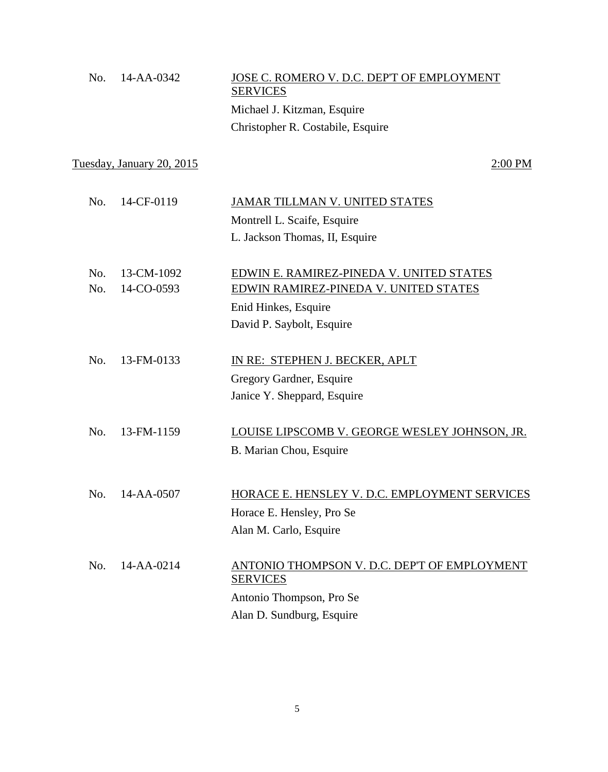| $\rm{No.}$ 14-AA-0342 | <b>SERVICES</b>             | JOSE C. ROMERO V. D.C. DEP'T OF EMPLOYMENT |
|-----------------------|-----------------------------|--------------------------------------------|
|                       | Michael J. Kitzman, Esquire |                                            |
|                       |                             | Christopher R. Costabile, Esquire          |

Tuesday, January 20, 2015 2:00 PM

| No.        | 14-CF-0119               | JAMAR TILLMAN V. UNITED STATES<br>Montrell L. Scaife, Esquire<br>L. Jackson Thomas, II, Esquire                                        |
|------------|--------------------------|----------------------------------------------------------------------------------------------------------------------------------------|
| No.<br>No. | 13-CM-1092<br>14-CO-0593 | EDWIN E. RAMIREZ-PINEDA V. UNITED STATES<br>EDWIN RAMIREZ-PINEDA V. UNITED STATES<br>Enid Hinkes, Esquire<br>David P. Saybolt, Esquire |
| No.        | 13-FM-0133               | IN RE: STEPHEN J. BECKER, APLT<br>Gregory Gardner, Esquire<br>Janice Y. Sheppard, Esquire                                              |
| No.        | 13-FM-1159               | LOUISE LIPSCOMB V. GEORGE WESLEY JOHNSON, JR.<br>B. Marian Chou, Esquire                                                               |
| No.        | $14 - AA - 0507$         | HORACE E. HENSLEY V. D.C. EMPLOYMENT SERVICES<br>Horace E. Hensley, Pro Se<br>Alan M. Carlo, Esquire                                   |
| No.        | $14 - AA - 0214$         | ANTONIO THOMPSON V. D.C. DEP'T OF EMPLOYMENT<br><b>SERVICES</b><br>Antonio Thompson, Pro Se<br>Alan D. Sundburg, Esquire               |